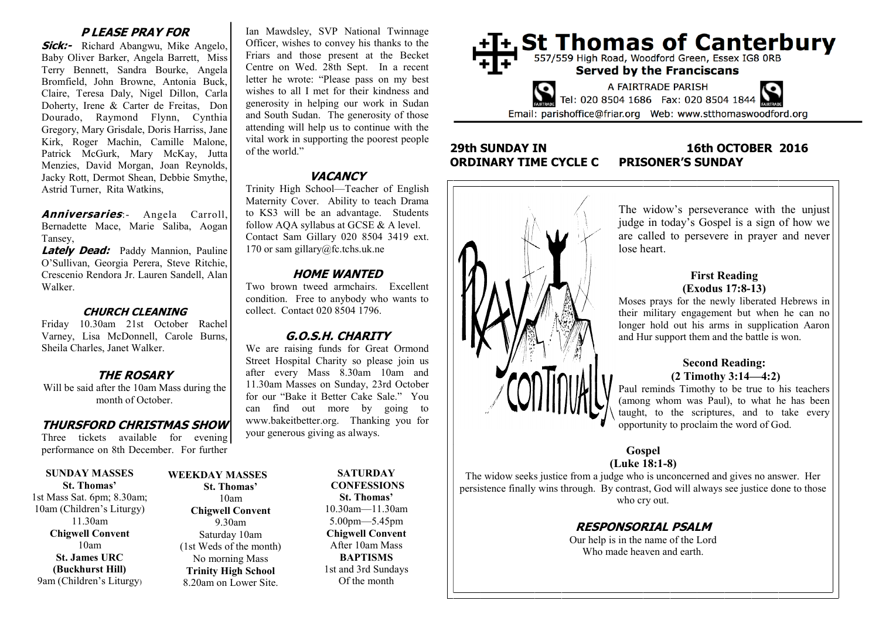## **P LEASE PRAY FOR**

**Sick:-** Richard Abangwu, Mike Angelo, Baby Oliver Barker, Angela Barrett, Miss Terry Bennett, Sandra Bourke, Angela Bromfield, John Browne, Antonia Buck, Claire, Teresa Daly, Nigel Dillon, Carla Doherty, Irene & Carter de Freitas, Don Dourado, Raymond Flynn, Cynthia Gregory, Mary Grisdale, Doris Harriss, Jane Kirk, Roger Machin, Camille Malone, Patrick McGurk, Mary McKay, Jutta Menzies, David Morgan, Joan Reynolds, Jacky Rott, Dermot Shean, Debbie Smythe, Astrid Turner, Rita Watkins,

**Anniversaries**:- Angela Carroll, Bernadette Mace, Marie Saliba, Aogan Tansey,

**Lately Dead:** Paddy Mannion, Pauline O'Sullivan, Georgia Perera, Steve Ritchie, Crescenio Rendora Jr. Lauren Sandell, Alan Walker.

#### **CHURCH CLEANING**

Friday 10.30am 21st October Rachel Varney, Lisa McDonnell, Carole Burns, Sheila Charles, Janet Walker.

## **THE ROSARY**

Will be said after the 10am Mass during the month of October.

#### **THURSFORD CHRISTMAS SHOW**

Three tickets available for evening performance on 8th December. For further

**SUNDAY MASSES St. Thomas'** 1st Mass Sat. 6pm; 8.30am; 10am (Children's Liturgy) 11.30am **Chigwell Convent** 10am **St. James URC (Buckhurst Hill)** 9am (Children's Liturgy)

#### **St. Thomas'** 10am **Chigwell Convent** 9.30am Saturday 10am (1st Weds of the month) No morning Mass **Trinity High School** 8.20am on Lower Site.

**WEEKDAY MASSES**

Ian Mawdsley, SVP National Twinnage Officer, wishes to convey his thanks to the Friars and those present at the Becket Centre on Wed. 28th Sept. In a recent letter he wrote: "Please pass on my best wishes to all I met for their kindness and generosity in helping our work in Sudan and South Sudan. The generosity of those attending will help us to continue with the vital work in supporting the poorest people of the world."

## **VACANCY**

Trinity High School—Teacher of English Maternity Cover. Ability to teach Drama to KS3 will be an advantage. Students follow AQA syllabus at GCSE & A level. Contact Sam Gillary 020 8504 3419 ext. 170 or sam gillary@fc.tchs.uk.ne

#### **HOME WANTED**

Two brown tweed armchairs. Excellent condition. Free to anybody who wants to collect. Contact 020 8504 1796.

## **G.O.S.H. CHARITY**

We are raising funds for Great Ormond Street Hospital Charity so please join us after every Mass 8.30am 10am and 11.30am Masses on Sunday, 23rd October for our "Bake it Better Cake Sale." You can find out more by going to www.bakeitbetter.org. Thanking you for your generous giving as always.

> **SATURDAY CONFESSIONS St. Thomas'** 10.30am—11.30am 5.00pm—5.45pm **Chigwell Convent** After 10am Mass **BAPTISMS** 1st and 3rd Sundays Of the month



# **ORDINARY TIME CYCLE C PRISONER'S SUNDAY**

# **29th SUNDAY IN 16th OCTOBER 2016**



persistence finally wins through. By contrast, God will always see justice done to those who cry out.

## **RESPONSORIAL PSALM**

Our help is in the name of the Lord Who made heaven and earth.